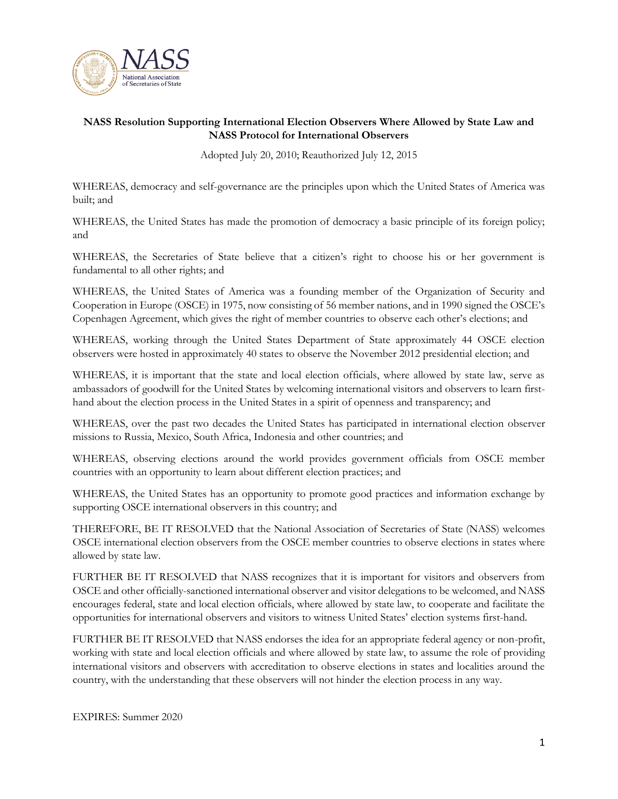

### **NASS Resolution Supporting International Election Observers Where Allowed by State Law and NASS Protocol for International Observers**

Adopted July 20, 2010; Reauthorized July 12, 2015

WHEREAS, democracy and self-governance are the principles upon which the United States of America was built; and

WHEREAS, the United States has made the promotion of democracy a basic principle of its foreign policy; and

WHEREAS, the Secretaries of State believe that a citizen's right to choose his or her government is fundamental to all other rights; and

WHEREAS, the United States of America was a founding member of the Organization of Security and Cooperation in Europe (OSCE) in 1975, now consisting of 56 member nations, and in 1990 signed the OSCE's Copenhagen Agreement, which gives the right of member countries to observe each other's elections; and

WHEREAS, working through the United States Department of State approximately 44 OSCE election observers were hosted in approximately 40 states to observe the November 2012 presidential election; and

WHEREAS, it is important that the state and local election officials, where allowed by state law, serve as ambassadors of goodwill for the United States by welcoming international visitors and observers to learn firsthand about the election process in the United States in a spirit of openness and transparency; and

WHEREAS, over the past two decades the United States has participated in international election observer missions to Russia, Mexico, South Africa, Indonesia and other countries; and

WHEREAS, observing elections around the world provides government officials from OSCE member countries with an opportunity to learn about different election practices; and

WHEREAS, the United States has an opportunity to promote good practices and information exchange by supporting OSCE international observers in this country; and

THEREFORE, BE IT RESOLVED that the National Association of Secretaries of State (NASS) welcomes OSCE international election observers from the OSCE member countries to observe elections in states where allowed by state law.

FURTHER BE IT RESOLVED that NASS recognizes that it is important for visitors and observers from OSCE and other officially-sanctioned international observer and visitor delegations to be welcomed, and NASS encourages federal, state and local election officials, where allowed by state law, to cooperate and facilitate the opportunities for international observers and visitors to witness United States' election systems first-hand.

FURTHER BE IT RESOLVED that NASS endorses the idea for an appropriate federal agency or non-profit, working with state and local election officials and where allowed by state law, to assume the role of providing international visitors and observers with accreditation to observe elections in states and localities around the country, with the understanding that these observers will not hinder the election process in any way.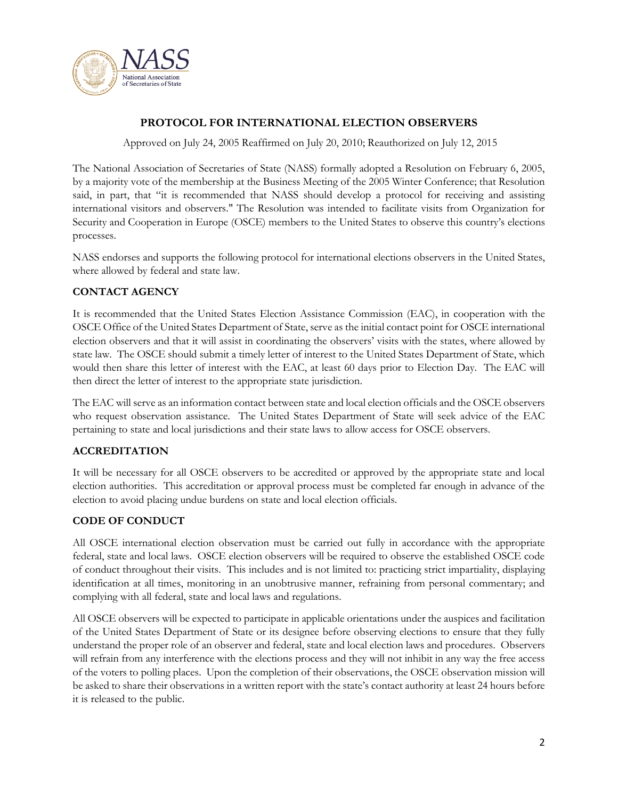

## **PROTOCOL FOR INTERNATIONAL ELECTION OBSERVERS**

Approved on July 24, 2005 Reaffirmed on July 20, 2010; Reauthorized on July 12, 2015

The National Association of Secretaries of State (NASS) formally adopted a Resolution on February 6, 2005, by a majority vote of the membership at the Business Meeting of the 2005 Winter Conference; that Resolution said, in part, that "it is recommended that NASS should develop a protocol for receiving and assisting international visitors and observers." The Resolution was intended to facilitate visits from Organization for Security and Cooperation in Europe (OSCE) members to the United States to observe this country's elections processes.

NASS endorses and supports the following protocol for international elections observers in the United States, where allowed by federal and state law.

### **CONTACT AGENCY**

It is recommended that the United States Election Assistance Commission (EAC), in cooperation with the OSCE Office of the United States Department of State, serve as the initial contact point for OSCE international election observers and that it will assist in coordinating the observers' visits with the states, where allowed by state law. The OSCE should submit a timely letter of interest to the United States Department of State, which would then share this letter of interest with the EAC, at least 60 days prior to Election Day. The EAC will then direct the letter of interest to the appropriate state jurisdiction.

The EAC will serve as an information contact between state and local election officials and the OSCE observers who request observation assistance. The United States Department of State will seek advice of the EAC pertaining to state and local jurisdictions and their state laws to allow access for OSCE observers.

#### **ACCREDITATION**

It will be necessary for all OSCE observers to be accredited or approved by the appropriate state and local election authorities. This accreditation or approval process must be completed far enough in advance of the election to avoid placing undue burdens on state and local election officials.

#### **CODE OF CONDUCT**

All OSCE international election observation must be carried out fully in accordance with the appropriate federal, state and local laws. OSCE election observers will be required to observe the established OSCE code of conduct throughout their visits. This includes and is not limited to: practicing strict impartiality, displaying identification at all times, monitoring in an unobtrusive manner, refraining from personal commentary; and complying with all federal, state and local laws and regulations.

All OSCE observers will be expected to participate in applicable orientations under the auspices and facilitation of the United States Department of State or its designee before observing elections to ensure that they fully understand the proper role of an observer and federal, state and local election laws and procedures. Observers will refrain from any interference with the elections process and they will not inhibit in any way the free access of the voters to polling places. Upon the completion of their observations, the OSCE observation mission will be asked to share their observations in a written report with the state's contact authority at least 24 hours before it is released to the public.